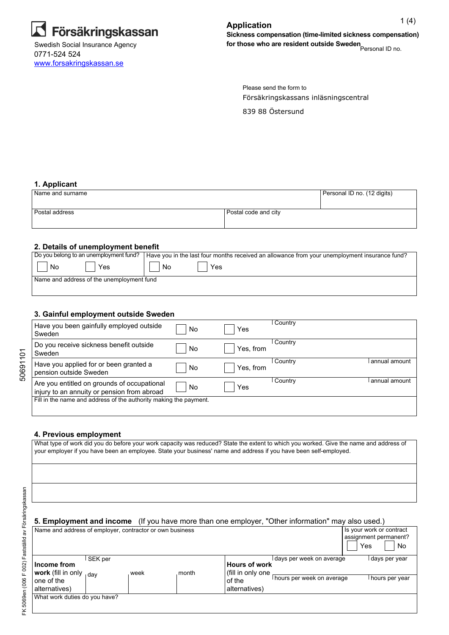

0771-524 524 <www.forsakringskassan.se>

Försäkringskassans inläsningscentral Please send the form to

839 88 Östersund

#### **1. Applicant**

| Name and surname |                      | Personal ID no. (12 digits) |
|------------------|----------------------|-----------------------------|
| Postal address   | Postal code and city |                             |

#### **2. Details of unemployment benefit**

| Do you belong to an unemployment fund?    | Have you in the last four months received an allowance from your unemployment insurance fund? |
|-------------------------------------------|-----------------------------------------------------------------------------------------------|
| No<br>Yes                                 | Yes<br>No                                                                                     |
| Name and address of the unemployment fund |                                                                                               |
|                                           |                                                                                               |

## **3. Gainful employment outside Sweden**

| Have you been gainfully employed outside<br>Sweden                                         | No | Yes       | Country        |               |
|--------------------------------------------------------------------------------------------|----|-----------|----------------|---------------|
| Do you receive sickness benefit outside<br>Sweden                                          | No | Yes, from | Country        |               |
| Have you applied for or been granted a<br>pension outside Sweden                           | No | Yes, from | Country        | annual amount |
| Are you entitled on grounds of occupational<br>injury to an annuity or pension from abroad | No | Yes       | <b>Country</b> | annual amount |
| Fill in the name and address of the authority making the payment.                          |    |           |                |               |

#### **4. Previous employment**

What type of work did you do before your work capacity was reduced? State the extent to which you worked. Give the name and address of your employer if you have been an employee. State your business' name and address if you have been self-employed.

50691101

50691101

| <b>5. Employment and income</b> (If you have more than one employer, "Other information" may also used.) |  |
|----------------------------------------------------------------------------------------------------------|--|
|----------------------------------------------------------------------------------------------------------|--|

| Name and address of employer, contractor or own business                                        |         |      |       |                                                                      |                                                         | Yes | Is your work or contract<br>assignment permanent?<br>No |
|-------------------------------------------------------------------------------------------------|---------|------|-------|----------------------------------------------------------------------|---------------------------------------------------------|-----|---------------------------------------------------------|
| Income from<br><b>work</b> (fill in only $_{1}$ <sub>day</sub><br>l one of the<br>alternatives) | SEK per | week | month | <b>Hours of work</b><br>(fill in only one<br>of the<br>alternatives) | l days per week on average<br>hours per week on average |     | l days per year<br>i hours per year                     |
| What work duties do you have?                                                                   |         |      |       |                                                                      |                                                         |     |                                                         |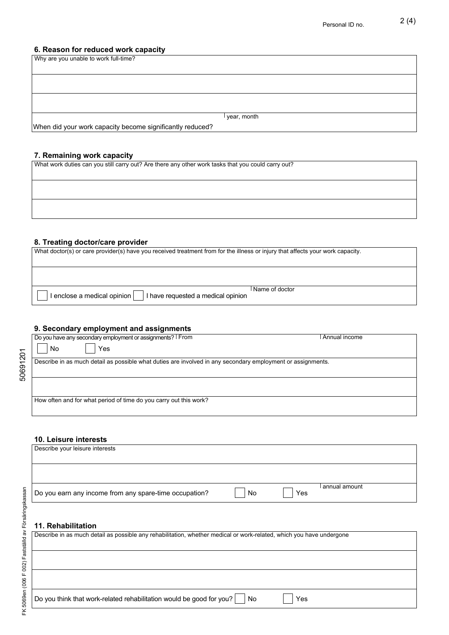# **6. Reason for reduced work capacity**

| Why are you unable to work full-time?                     |               |
|-----------------------------------------------------------|---------------|
|                                                           |               |
|                                                           |               |
|                                                           |               |
|                                                           |               |
|                                                           |               |
|                                                           | l year, month |
| When did your work capacity become significantly reduced? |               |

#### **7. Remaining work capacity**

What work duties can you still carry out? Are there any other work tasks that you could carry out?

#### **8. Treating doctor/care provider**

| What doctor(s) or care provider(s) have you received treatment from for the illness or injury that affects your work capacity. |                |
|--------------------------------------------------------------------------------------------------------------------------------|----------------|
|                                                                                                                                |                |
| $\vert$ enclose a medical opinion $\vert$<br>I have requested a medical opinion                                                | Name of doctor |

## **9. Secondary employment and assignments**

| Do you have any secondary employment or assignments?   From                                                 | Annual income |
|-------------------------------------------------------------------------------------------------------------|---------------|
| No<br>Yes                                                                                                   |               |
| Describe in as much detail as possible what duties are involved in any secondary employment or assignments. |               |
|                                                                                                             |               |
|                                                                                                             |               |
|                                                                                                             |               |
| How often and for what period of time do you carry out this work?                                           |               |
|                                                                                                             |               |

## **10. Leisure interests**

| Describe your leisure interests                        |    |     |                 |
|--------------------------------------------------------|----|-----|-----------------|
|                                                        |    |     |                 |
|                                                        |    |     |                 |
|                                                        |    |     |                 |
| Do you earn any income from any spare-time occupation? | No | Yes | l annual amount |

# **11. Rehabilitation**

| Describe in as much detail as possible any rehabilitation, whether medical or work-related, which you have undergone |     |
|----------------------------------------------------------------------------------------------------------------------|-----|
|                                                                                                                      |     |
|                                                                                                                      |     |
|                                                                                                                      |     |
|                                                                                                                      |     |
|                                                                                                                      |     |
| Do you think that work-related rehabilitation would be good for you? $\vert$ No                                      | Yes |

50691201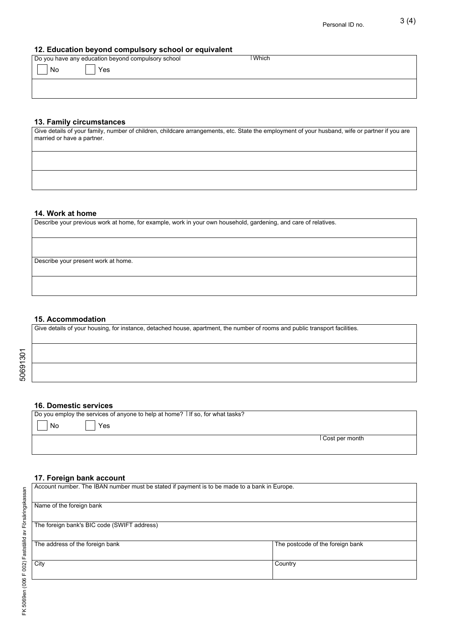#### **12. Education beyond compulsory school or equivalent**

| Do you have any education beyond compulsory school | Which |  |
|----------------------------------------------------|-------|--|
| No<br>Yes                                          |       |  |
|                                                    |       |  |

# **13. Family circumstances**

| Give details of your family, number of children, childcare arrangements, etc. State the employment of your husband, wife or partner if you are<br>married or have a partner. |
|------------------------------------------------------------------------------------------------------------------------------------------------------------------------------|
|                                                                                                                                                                              |
|                                                                                                                                                                              |

## **14. Work at home**

|  |  | Describe your previous work at home, for example, work in your own household, gardening, and care of relatives. |
|--|--|-----------------------------------------------------------------------------------------------------------------|
|--|--|-----------------------------------------------------------------------------------------------------------------|

Describe your present work at home.

#### **15. Accommodation**

Give details of your housing, for instance, detached house, apartment, the number of rooms and public transport facilities.

# 50691301 50691301

#### **16. Domestic services**

Do you employ the services of anyone to help at home? If so, for what tasks?

|--|--|

Cost per month

## **17. Foreign bank account**

Yes

| Account number. The IBAN number must be stated if payment is to be made to a bank in Europe. |                                  |
|----------------------------------------------------------------------------------------------|----------------------------------|
| Name of the foreign bank                                                                     |                                  |
| The foreign bank's BIC code (SWIFT address)                                                  |                                  |
| The address of the foreign bank                                                              | The postcode of the foreign bank |
| City                                                                                         | Country                          |